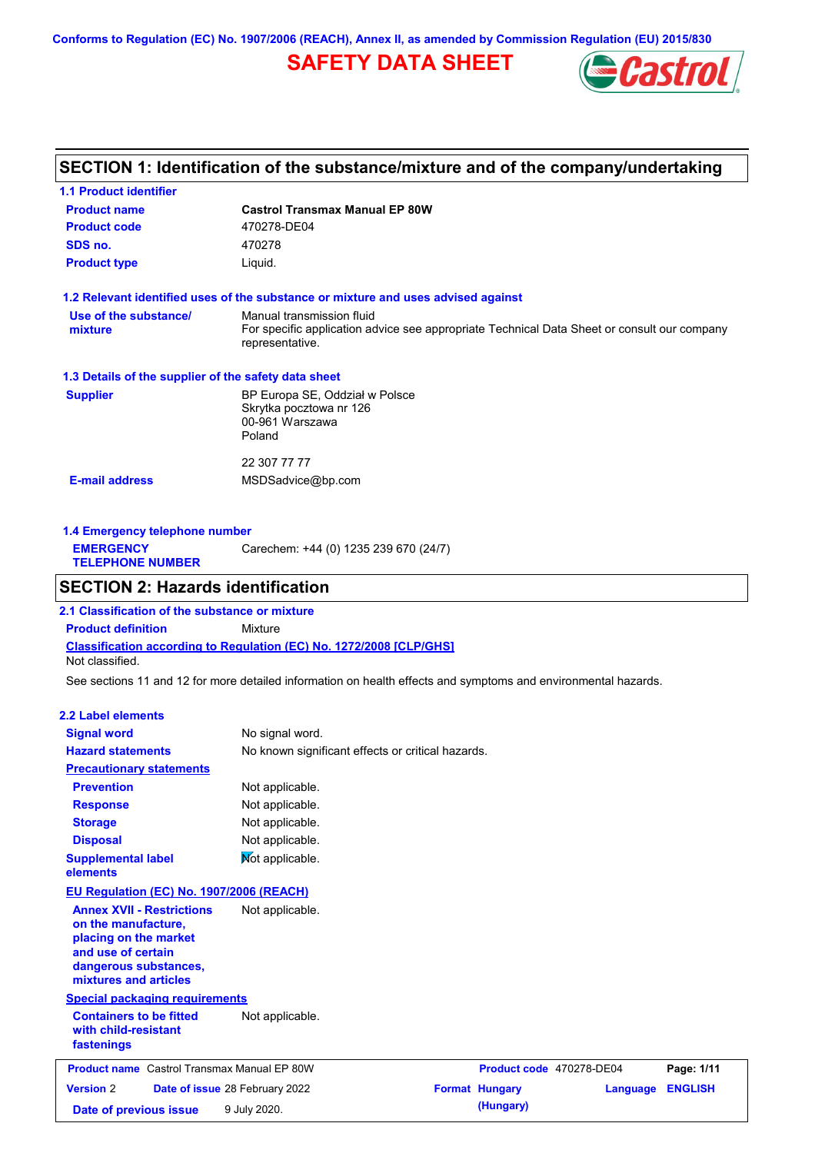**Conforms to Regulation (EC) No. 1907/2006 (REACH), Annex II, as amended by Commission Regulation (EU) 2015/830**

# **SAFETY DATA SHEET**



## **SECTION 1: Identification of the substance/mixture and of the company/undertaking**

| <b>1.1 Product identifier</b>                        |                                                                                                                                             |
|------------------------------------------------------|---------------------------------------------------------------------------------------------------------------------------------------------|
| <b>Product name</b>                                  | <b>Castrol Transmax Manual EP 80W</b>                                                                                                       |
| <b>Product code</b>                                  | 470278-DE04                                                                                                                                 |
| SDS no.                                              | 470278                                                                                                                                      |
| <b>Product type</b>                                  | Liquid.                                                                                                                                     |
|                                                      | 1.2 Relevant identified uses of the substance or mixture and uses advised against                                                           |
| Use of the substance/<br>mixture                     | Manual transmission fluid<br>For specific application advice see appropriate Technical Data Sheet or consult our company<br>representative. |
| 1.3 Details of the supplier of the safety data sheet |                                                                                                                                             |
| <b>Supplier</b>                                      | BP Europa SE, Oddział w Polsce<br>Skrytka pocztowa nr 126<br>00-961 Warszawa<br>Poland                                                      |
|                                                      | 22 307 77 77                                                                                                                                |
| <b>E-mail address</b>                                | MSDSadvice@bp.com                                                                                                                           |
|                                                      |                                                                                                                                             |
|                                                      |                                                                                                                                             |

**1.4 Emergency telephone number EMERGENCY TELEPHONE NUMBER** Carechem: +44 (0) 1235 239 670 (24/7)

## **SECTION 2: Hazards identification**

**Classification according to Regulation (EC) No. 1272/2008 [CLP/GHS] 2.1 Classification of the substance or mixture Product definition** Mixture Not classified.

See sections 11 and 12 for more detailed information on health effects and symptoms and environmental hazards.

#### **2.2 Label elements**

| <b>Signal word</b>                                                                                                                                       | No signal word.                |                                                   |                          |          |                |
|----------------------------------------------------------------------------------------------------------------------------------------------------------|--------------------------------|---------------------------------------------------|--------------------------|----------|----------------|
| <b>Hazard statements</b>                                                                                                                                 |                                | No known significant effects or critical hazards. |                          |          |                |
| <b>Precautionary statements</b>                                                                                                                          |                                |                                                   |                          |          |                |
| <b>Prevention</b>                                                                                                                                        | Not applicable.                |                                                   |                          |          |                |
| <b>Response</b>                                                                                                                                          | Not applicable.                |                                                   |                          |          |                |
| <b>Storage</b>                                                                                                                                           | Not applicable.                |                                                   |                          |          |                |
| <b>Disposal</b>                                                                                                                                          | Not applicable.                |                                                   |                          |          |                |
| <b>Supplemental label</b><br>elements                                                                                                                    | Not applicable.                |                                                   |                          |          |                |
| EU Regulation (EC) No. 1907/2006 (REACH)                                                                                                                 |                                |                                                   |                          |          |                |
| <b>Annex XVII - Restrictions</b><br>on the manufacture,<br>placing on the market<br>and use of certain<br>dangerous substances,<br>mixtures and articles | Not applicable.                |                                                   |                          |          |                |
| <b>Special packaging requirements</b>                                                                                                                    |                                |                                                   |                          |          |                |
| <b>Containers to be fitted</b><br>with child-resistant<br>fastenings                                                                                     | Not applicable.                |                                                   |                          |          |                |
| <b>Product name</b> Castrol Transmax Manual EP 80W                                                                                                       |                                |                                                   | Product code 470278-DE04 |          | Page: 1/11     |
| <b>Version 2</b>                                                                                                                                         | Date of issue 28 February 2022 |                                                   | <b>Format Hungary</b>    | Language | <b>ENGLISH</b> |
| Date of previous issue                                                                                                                                   | 9 July 2020.                   |                                                   | (Hungary)                |          |                |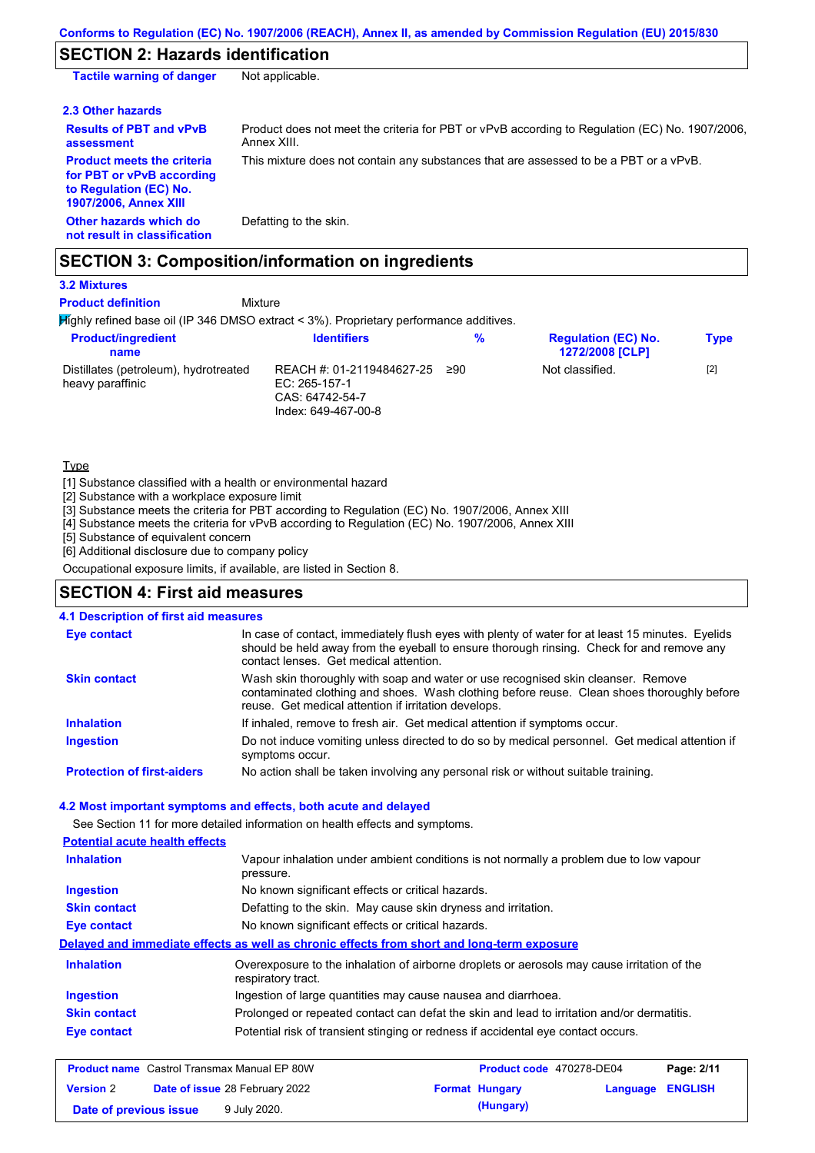# **SECTION 2: Hazards identification**

| <b>Tactile warning of danger</b>                                                                                         | Not applicable.                                                                                               |
|--------------------------------------------------------------------------------------------------------------------------|---------------------------------------------------------------------------------------------------------------|
| 2.3 Other hazards                                                                                                        |                                                                                                               |
| <b>Results of PBT and vPvB</b><br>assessment                                                                             | Product does not meet the criteria for PBT or vPvB according to Regulation (EC) No. 1907/2006,<br>Annex XIII. |
| <b>Product meets the criteria</b><br>for PBT or vPvB according<br>to Regulation (EC) No.<br><b>1907/2006, Annex XIII</b> | This mixture does not contain any substances that are assessed to be a PBT or a vPvB.                         |
| Other hazards which do<br>not result in classification                                                                   | Defatting to the skin.                                                                                        |

## **SECTION 3: Composition/information on ingredients**

**3.2 Mixtures**

**Product definition**

### Mixture

Highly refined base oil (IP 346 DMSO extract < 3%). Proprietary performance additives.

| <b>Product/ingredient</b><br>name                         | <b>Identifiers</b>                                                                     | %   | <b>Regulation (EC) No.</b><br><b>1272/2008 [CLP]</b> | <b>Type</b> |
|-----------------------------------------------------------|----------------------------------------------------------------------------------------|-----|------------------------------------------------------|-------------|
| Distillates (petroleum), hydrotreated<br>heavy paraffinic | REACH #: 01-2119484627-25<br>EC: $265-157-1$<br>CAS: 64742-54-7<br>Index: 649-467-00-8 | ≥90 | Not classified.                                      | $[2]$       |

**Type** 

[1] Substance classified with a health or environmental hazard

[2] Substance with a workplace exposure limit

[3] Substance meets the criteria for PBT according to Regulation (EC) No. 1907/2006, Annex XIII

[4] Substance meets the criteria for vPvB according to Regulation (EC) No. 1907/2006, Annex XIII

[5] Substance of equivalent concern

[6] Additional disclosure due to company policy

Occupational exposure limits, if available, are listed in Section 8.

### **SECTION 4: First aid measures**

### **4.1 Description of first aid measures**

| <b>Eye contact</b>                | In case of contact, immediately flush eyes with plenty of water for at least 15 minutes. Eyelids<br>should be held away from the eyeball to ensure thorough rinsing. Check for and remove any<br>contact lenses. Get medical attention. |
|-----------------------------------|-----------------------------------------------------------------------------------------------------------------------------------------------------------------------------------------------------------------------------------------|
| <b>Skin contact</b>               | Wash skin thoroughly with soap and water or use recognised skin cleanser. Remove<br>contaminated clothing and shoes. Wash clothing before reuse. Clean shoes thoroughly before<br>reuse. Get medical attention if irritation develops.  |
| <b>Inhalation</b>                 | If inhaled, remove to fresh air. Get medical attention if symptoms occur.                                                                                                                                                               |
| <b>Ingestion</b>                  | Do not induce vomiting unless directed to do so by medical personnel. Get medical attention if<br>symptoms occur.                                                                                                                       |
| <b>Protection of first-aiders</b> | No action shall be taken involving any personal risk or without suitable training.                                                                                                                                                      |

#### **4.2 Most important symptoms and effects, both acute and delayed**

See Section 11 for more detailed information on health effects and symptoms.

| <b>Potential acute health effects</b> |                                                                                                                   |
|---------------------------------------|-------------------------------------------------------------------------------------------------------------------|
| <b>Inhalation</b>                     | Vapour inhalation under ambient conditions is not normally a problem due to low vapour<br>pressure.               |
| <b>Ingestion</b>                      | No known significant effects or critical hazards.                                                                 |
| <b>Skin contact</b>                   | Defatting to the skin. May cause skin dryness and irritation.                                                     |
| Eye contact                           | No known significant effects or critical hazards.                                                                 |
|                                       | Delayed and immediate effects as well as chronic effects from short and long-term exposure                        |
| <b>Inhalation</b>                     | Overexposure to the inhalation of airborne droplets or aerosols may cause irritation of the<br>respiratory tract. |
| <b>Ingestion</b>                      | Ingestion of large quantities may cause nausea and diarrhoea.                                                     |
| <b>Skin contact</b>                   | Prolonged or repeated contact can defat the skin and lead to irritation and/or dermatitis.                        |
| Eye contact                           | Potential risk of transient stinging or redness if accidental eye contact occurs.                                 |
|                                       |                                                                                                                   |

| <b>Product name</b> Castrol Transmax Manual EP 80W |  | Product code 470278-DE04              |  | Page: 2/11            |                  |  |
|----------------------------------------------------|--|---------------------------------------|--|-----------------------|------------------|--|
| <b>Version 2</b>                                   |  | <b>Date of issue 28 February 2022</b> |  | <b>Format Hungary</b> | Language ENGLISH |  |
| Date of previous issue                             |  | 9 July 2020.                          |  | (Hungary)             |                  |  |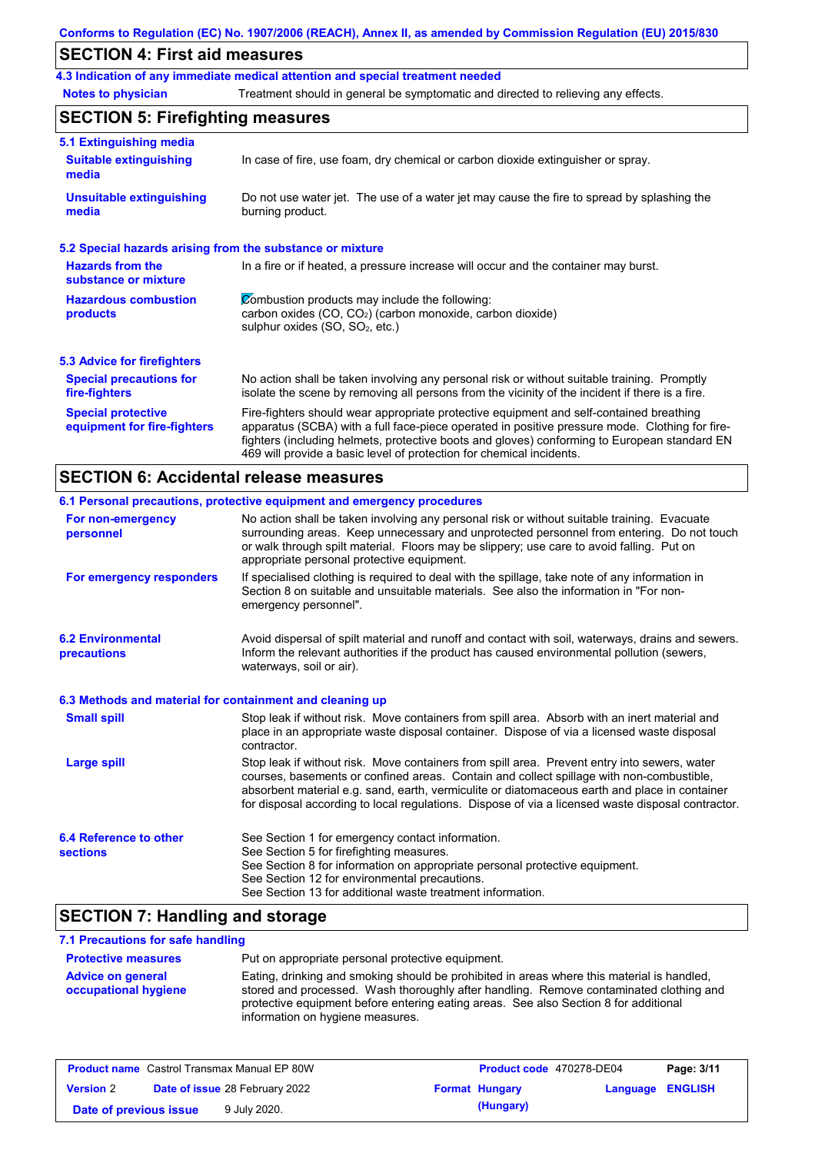## **SECTION 4: First aid measures**

**4.3 Indication of any immediate medical attention and special treatment needed**

**Notes to physician** Treatment should in general be symptomatic and directed to relieving any effects.

## **SECTION 5: Firefighting measures**

| 5.1 Extinguishing media                                   |                                                                                                                                                                                                                                                                                                                                                                   |
|-----------------------------------------------------------|-------------------------------------------------------------------------------------------------------------------------------------------------------------------------------------------------------------------------------------------------------------------------------------------------------------------------------------------------------------------|
| <b>Suitable extinguishing</b><br>media                    | In case of fire, use foam, dry chemical or carbon dioxide extinguisher or spray.                                                                                                                                                                                                                                                                                  |
| <b>Unsuitable extinguishing</b><br>media                  | Do not use water jet. The use of a water jet may cause the fire to spread by splashing the<br>burning product.                                                                                                                                                                                                                                                    |
| 5.2 Special hazards arising from the substance or mixture |                                                                                                                                                                                                                                                                                                                                                                   |
| <b>Hazards from the</b><br>substance or mixture           | In a fire or if heated, a pressure increase will occur and the container may burst.                                                                                                                                                                                                                                                                               |
| <b>Hazardous combustion</b><br>products                   | Combustion products may include the following:<br>carbon oxides $(CO, CO2)$ (carbon monoxide, carbon dioxide)<br>sulphur oxides (SO, SO <sub>2</sub> , etc.)                                                                                                                                                                                                      |
| 5.3 Advice for firefighters                               |                                                                                                                                                                                                                                                                                                                                                                   |
| <b>Special precautions for</b><br>fire-fighters           | No action shall be taken involving any personal risk or without suitable training. Promptly<br>isolate the scene by removing all persons from the vicinity of the incident if there is a fire.                                                                                                                                                                    |
| <b>Special protective</b><br>equipment for fire-fighters  | Fire-fighters should wear appropriate protective equipment and self-contained breathing<br>apparatus (SCBA) with a full face-piece operated in positive pressure mode. Clothing for fire-<br>fighters (including helmets, protective boots and gloves) conforming to European standard EN<br>469 will provide a basic level of protection for chemical incidents. |

## **SECTION 6: Accidental release measures**

|                                                          | 6.1 Personal precautions, protective equipment and emergency procedures                                                                                                                                                                                                                                                                                                                        |
|----------------------------------------------------------|------------------------------------------------------------------------------------------------------------------------------------------------------------------------------------------------------------------------------------------------------------------------------------------------------------------------------------------------------------------------------------------------|
| For non-emergency<br>personnel                           | No action shall be taken involving any personal risk or without suitable training. Evacuate<br>surrounding areas. Keep unnecessary and unprotected personnel from entering. Do not touch<br>or walk through spilt material. Floors may be slippery; use care to avoid falling. Put on<br>appropriate personal protective equipment.                                                            |
| For emergency responders                                 | If specialised clothing is required to deal with the spillage, take note of any information in<br>Section 8 on suitable and unsuitable materials. See also the information in "For non-<br>emergency personnel".                                                                                                                                                                               |
| <b>6.2 Environmental</b><br>precautions                  | Avoid dispersal of spilt material and runoff and contact with soil, waterways, drains and sewers.<br>Inform the relevant authorities if the product has caused environmental pollution (sewers,<br>waterways, soil or air).                                                                                                                                                                    |
| 6.3 Methods and material for containment and cleaning up |                                                                                                                                                                                                                                                                                                                                                                                                |
| <b>Small spill</b>                                       | Stop leak if without risk. Move containers from spill area. Absorb with an inert material and<br>place in an appropriate waste disposal container. Dispose of via a licensed waste disposal<br>contractor.                                                                                                                                                                                     |
| <b>Large spill</b>                                       | Stop leak if without risk. Move containers from spill area. Prevent entry into sewers, water<br>courses, basements or confined areas. Contain and collect spillage with non-combustible,<br>absorbent material e.g. sand, earth, vermiculite or diatomaceous earth and place in container<br>for disposal according to local regulations. Dispose of via a licensed waste disposal contractor. |
| 6.4 Reference to other<br><b>sections</b>                | See Section 1 for emergency contact information.<br>See Section 5 for firefighting measures.<br>See Section 8 for information on appropriate personal protective equipment.<br>See Section 12 for environmental precautions.<br>See Section 13 for additional waste treatment information.                                                                                                     |

## **SECTION 7: Handling and storage**

## **7.1 Precautions for safe handling**

| <b>Protective measures</b>                       | Put on appropriate personal protective equipment.                                                                                                                                                                                                                                                                |
|--------------------------------------------------|------------------------------------------------------------------------------------------------------------------------------------------------------------------------------------------------------------------------------------------------------------------------------------------------------------------|
| <b>Advice on general</b><br>occupational hygiene | Eating, drinking and smoking should be prohibited in areas where this material is handled,<br>stored and processed. Wash thoroughly after handling. Remove contaminated clothing and<br>protective equipment before entering eating areas. See also Section 8 for additional<br>information on hygiene measures. |

| <b>Product name</b> Castrol Transmax Manual EP 80W        |  | <b>Product code</b> 470278-DE04 |                       | Page: 3/11       |  |  |
|-----------------------------------------------------------|--|---------------------------------|-----------------------|------------------|--|--|
| <b>Date of issue 28 February 2022</b><br><b>Version 2</b> |  |                                 | <b>Format Hungary</b> | Language ENGLISH |  |  |
| Date of previous issue                                    |  | 9 July 2020.                    |                       | (Hungary)        |  |  |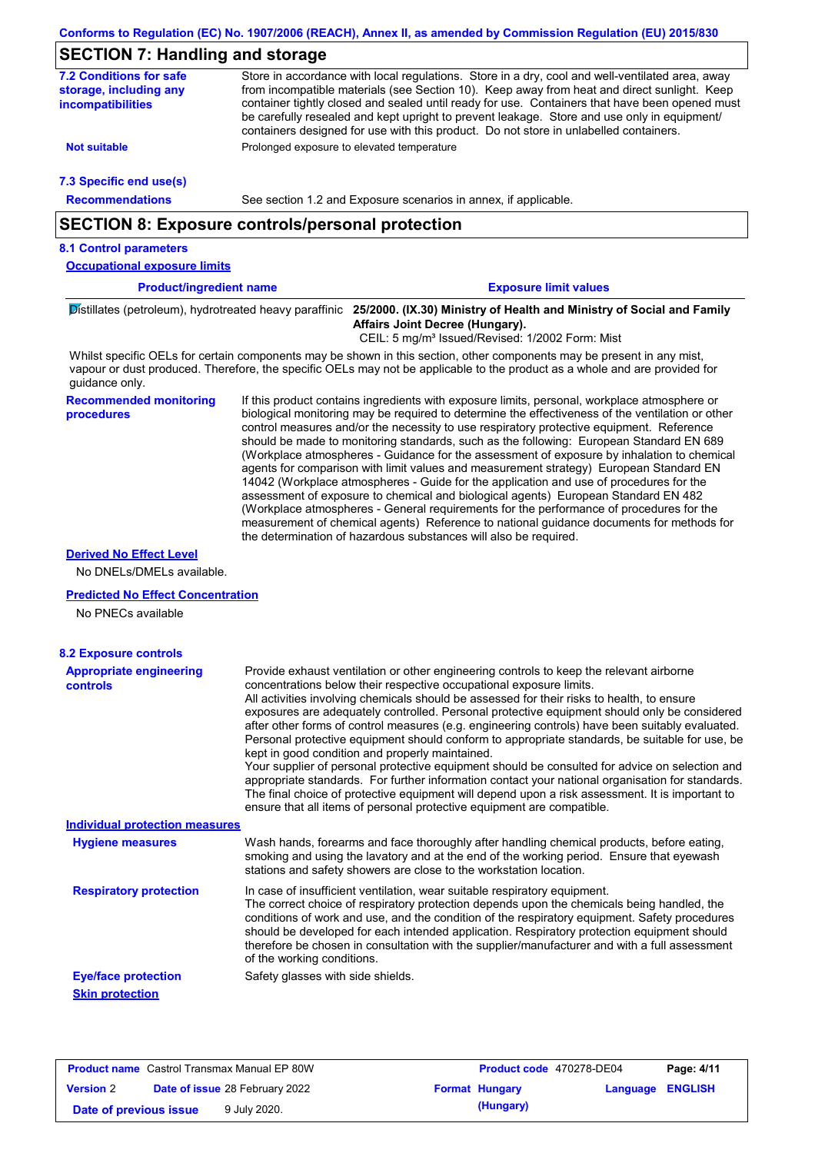| <b>SECTION 7: Handling and storage</b>                                        |                                            |                                                                                                                                                                                                                                                                                                                                                                                                                                                                                                                                                                                                                                                                                                                                                                                                                                                                                                                                                                                                                            |  |
|-------------------------------------------------------------------------------|--------------------------------------------|----------------------------------------------------------------------------------------------------------------------------------------------------------------------------------------------------------------------------------------------------------------------------------------------------------------------------------------------------------------------------------------------------------------------------------------------------------------------------------------------------------------------------------------------------------------------------------------------------------------------------------------------------------------------------------------------------------------------------------------------------------------------------------------------------------------------------------------------------------------------------------------------------------------------------------------------------------------------------------------------------------------------------|--|
| <b>7.2 Conditions for safe</b><br>storage, including any<br>incompatibilities |                                            | Store in accordance with local regulations. Store in a dry, cool and well-ventilated area, away<br>from incompatible materials (see Section 10). Keep away from heat and direct sunlight. Keep<br>container tightly closed and sealed until ready for use. Containers that have been opened must<br>be carefully resealed and kept upright to prevent leakage. Store and use only in equipment/<br>containers designed for use with this product. Do not store in unlabelled containers.                                                                                                                                                                                                                                                                                                                                                                                                                                                                                                                                   |  |
| <b>Not suitable</b>                                                           | Prolonged exposure to elevated temperature |                                                                                                                                                                                                                                                                                                                                                                                                                                                                                                                                                                                                                                                                                                                                                                                                                                                                                                                                                                                                                            |  |
| 7.3 Specific end use(s)                                                       |                                            |                                                                                                                                                                                                                                                                                                                                                                                                                                                                                                                                                                                                                                                                                                                                                                                                                                                                                                                                                                                                                            |  |
| <b>Recommendations</b>                                                        |                                            | See section 1.2 and Exposure scenarios in annex, if applicable.                                                                                                                                                                                                                                                                                                                                                                                                                                                                                                                                                                                                                                                                                                                                                                                                                                                                                                                                                            |  |
| <b>SECTION 8: Exposure controls/personal protection</b>                       |                                            |                                                                                                                                                                                                                                                                                                                                                                                                                                                                                                                                                                                                                                                                                                                                                                                                                                                                                                                                                                                                                            |  |
| <b>8.1 Control parameters</b>                                                 |                                            |                                                                                                                                                                                                                                                                                                                                                                                                                                                                                                                                                                                                                                                                                                                                                                                                                                                                                                                                                                                                                            |  |
| <b>Occupational exposure limits</b>                                           |                                            |                                                                                                                                                                                                                                                                                                                                                                                                                                                                                                                                                                                                                                                                                                                                                                                                                                                                                                                                                                                                                            |  |
| <b>Product/ingredient name</b>                                                |                                            | <b>Exposure limit values</b>                                                                                                                                                                                                                                                                                                                                                                                                                                                                                                                                                                                                                                                                                                                                                                                                                                                                                                                                                                                               |  |
|                                                                               |                                            | Distillates (petroleum), hydrotreated heavy paraffinic 25/2000. (IX.30) Ministry of Health and Ministry of Social and Family<br>Affairs Joint Decree (Hungary).<br>CEIL: 5 mg/m <sup>3</sup> Issued/Revised: 1/2002 Form: Mist                                                                                                                                                                                                                                                                                                                                                                                                                                                                                                                                                                                                                                                                                                                                                                                             |  |
| guidance only.                                                                |                                            | Whilst specific OELs for certain components may be shown in this section, other components may be present in any mist,<br>vapour or dust produced. Therefore, the specific OELs may not be applicable to the product as a whole and are provided for                                                                                                                                                                                                                                                                                                                                                                                                                                                                                                                                                                                                                                                                                                                                                                       |  |
| <b>Recommended monitoring</b><br>procedures                                   |                                            | If this product contains ingredients with exposure limits, personal, workplace atmosphere or<br>biological monitoring may be required to determine the effectiveness of the ventilation or other<br>control measures and/or the necessity to use respiratory protective equipment. Reference<br>should be made to monitoring standards, such as the following: European Standard EN 689<br>(Workplace atmospheres - Guidance for the assessment of exposure by inhalation to chemical<br>agents for comparison with limit values and measurement strategy) European Standard EN<br>14042 (Workplace atmospheres - Guide for the application and use of procedures for the<br>assessment of exposure to chemical and biological agents) European Standard EN 482<br>(Workplace atmospheres - General requirements for the performance of procedures for the<br>measurement of chemical agents) Reference to national guidance documents for methods for<br>the determination of hazardous substances will also be required. |  |
| <b>Derived No Effect Level</b><br>No DNELs/DMELs available.                   |                                            |                                                                                                                                                                                                                                                                                                                                                                                                                                                                                                                                                                                                                                                                                                                                                                                                                                                                                                                                                                                                                            |  |
| <b>Predicted No Effect Concentration</b>                                      |                                            |                                                                                                                                                                                                                                                                                                                                                                                                                                                                                                                                                                                                                                                                                                                                                                                                                                                                                                                                                                                                                            |  |
| No PNECs available                                                            |                                            |                                                                                                                                                                                                                                                                                                                                                                                                                                                                                                                                                                                                                                                                                                                                                                                                                                                                                                                                                                                                                            |  |
| <b>8.2 Exposure controls</b>                                                  |                                            |                                                                                                                                                                                                                                                                                                                                                                                                                                                                                                                                                                                                                                                                                                                                                                                                                                                                                                                                                                                                                            |  |
| <b>Appropriate engineering</b><br>controls                                    |                                            | Provide exhaust ventilation or other engineering controls to keep the relevant airborne<br>concentrations below their respective occupational exposure limits.<br>All activities involving chemicals should be assessed for their risks to health, to ensure<br>exposures are adequately controlled. Personal protective equipment should only be considered<br>after other forms of control measures (e.g. engineering controls) have been suitably evaluated.<br>Personal protective equipment should conform to appropriate standards, be suitable for use, be<br>kept in good condition and properly maintained.<br>Your supplier of personal protective equipment should be consulted for advice on selection and<br>appropriate standards. For further information contact your national organisation for standards.<br>The final choice of protective equipment will depend upon a risk assessment. It is important to<br>ensure that all items of personal protective equipment are compatible.                    |  |
| <b>Individual protection measures</b>                                         |                                            |                                                                                                                                                                                                                                                                                                                                                                                                                                                                                                                                                                                                                                                                                                                                                                                                                                                                                                                                                                                                                            |  |
| <b>Hygiene measures</b>                                                       |                                            | Wash hands, forearms and face thoroughly after handling chemical products, before eating,<br>smoking and using the lavatory and at the end of the working period. Ensure that eyewash<br>stations and safety showers are close to the workstation location.                                                                                                                                                                                                                                                                                                                                                                                                                                                                                                                                                                                                                                                                                                                                                                |  |
| <b>Respiratory protection</b>                                                 | of the working conditions.                 | In case of insufficient ventilation, wear suitable respiratory equipment.<br>The correct choice of respiratory protection depends upon the chemicals being handled, the<br>conditions of work and use, and the condition of the respiratory equipment. Safety procedures<br>should be developed for each intended application. Respiratory protection equipment should<br>therefore be chosen in consultation with the supplier/manufacturer and with a full assessment                                                                                                                                                                                                                                                                                                                                                                                                                                                                                                                                                    |  |
| <b>Eye/face protection</b><br><b>Skin protection</b>                          | Safety glasses with side shields.          |                                                                                                                                                                                                                                                                                                                                                                                                                                                                                                                                                                                                                                                                                                                                                                                                                                                                                                                                                                                                                            |  |

| <b>Product name</b> Castrol Transmax Manual EP 80W |  | <b>Product code</b> 470278-DE04       |                       | Page: 4/11              |  |
|----------------------------------------------------|--|---------------------------------------|-----------------------|-------------------------|--|
| <b>Version 2</b>                                   |  | <b>Date of issue 28 February 2022</b> | <b>Format Hungary</b> | <b>Language ENGLISH</b> |  |
| Date of previous issue                             |  | 9 July 2020.                          | (Hungary)             |                         |  |

 $\mathsf{l}$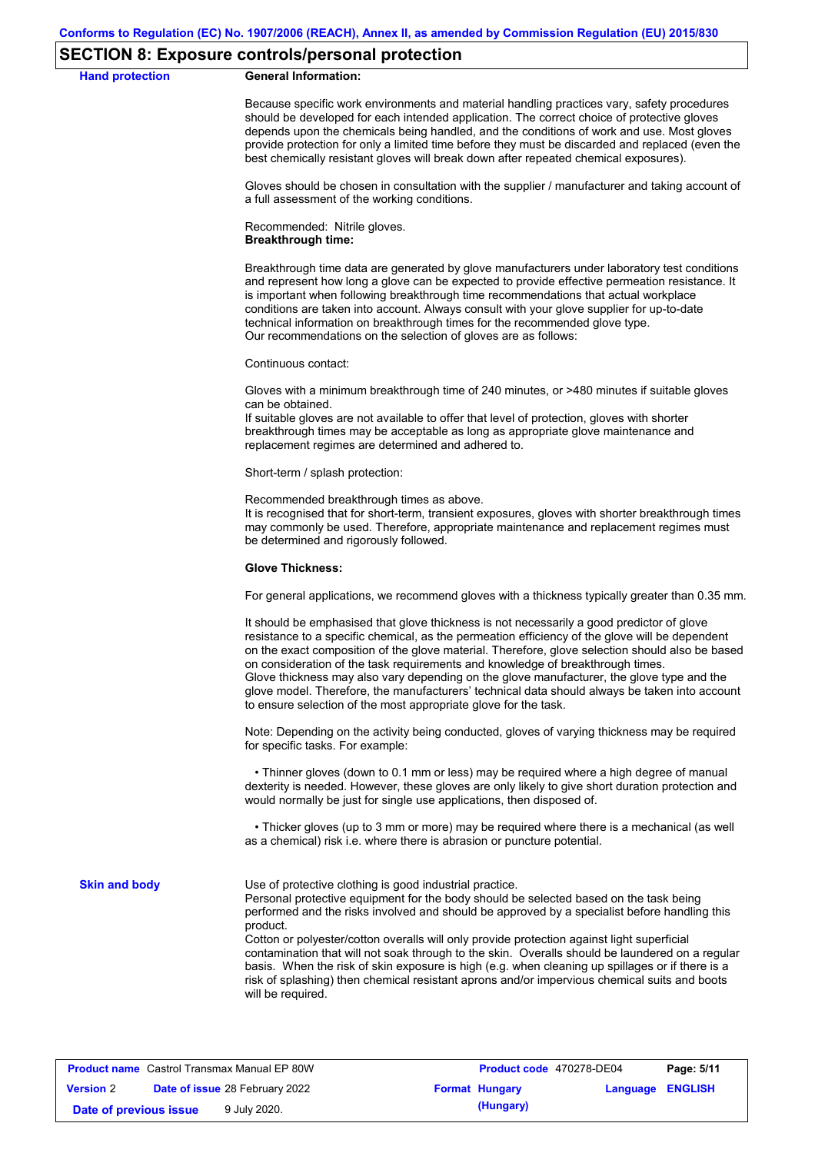### **SECTION 8: Exposure controls/personal protection**

#### **Hand protection General Information:**

Because specific work environments and material handling practices vary, safety procedures should be developed for each intended application. The correct choice of protective gloves depends upon the chemicals being handled, and the conditions of work and use. Most gloves provide protection for only a limited time before they must be discarded and replaced (even the best chemically resistant gloves will break down after repeated chemical exposures).

Gloves should be chosen in consultation with the supplier / manufacturer and taking account of a full assessment of the working conditions.

Recommended: Nitrile gloves. **Breakthrough time:**

Breakthrough time data are generated by glove manufacturers under laboratory test conditions and represent how long a glove can be expected to provide effective permeation resistance. It is important when following breakthrough time recommendations that actual workplace conditions are taken into account. Always consult with your glove supplier for up-to-date technical information on breakthrough times for the recommended glove type. Our recommendations on the selection of gloves are as follows:

Continuous contact:

Gloves with a minimum breakthrough time of 240 minutes, or >480 minutes if suitable gloves can be obtained.

If suitable gloves are not available to offer that level of protection, gloves with shorter breakthrough times may be acceptable as long as appropriate glove maintenance and replacement regimes are determined and adhered to.

Short-term / splash protection:

Recommended breakthrough times as above.

It is recognised that for short-term, transient exposures, gloves with shorter breakthrough times may commonly be used. Therefore, appropriate maintenance and replacement regimes must be determined and rigorously followed.

#### **Glove Thickness:**

For general applications, we recommend gloves with a thickness typically greater than 0.35 mm.

It should be emphasised that glove thickness is not necessarily a good predictor of glove resistance to a specific chemical, as the permeation efficiency of the glove will be dependent on the exact composition of the glove material. Therefore, glove selection should also be based on consideration of the task requirements and knowledge of breakthrough times. Glove thickness may also vary depending on the glove manufacturer, the glove type and the glove model. Therefore, the manufacturers' technical data should always be taken into account to ensure selection of the most appropriate glove for the task.

Note: Depending on the activity being conducted, gloves of varying thickness may be required for specific tasks. For example:

 • Thinner gloves (down to 0.1 mm or less) may be required where a high degree of manual dexterity is needed. However, these gloves are only likely to give short duration protection and would normally be just for single use applications, then disposed of.

 • Thicker gloves (up to 3 mm or more) may be required where there is a mechanical (as well as a chemical) risk i.e. where there is abrasion or puncture potential.

**Skin and body**

Use of protective clothing is good industrial practice.

Personal protective equipment for the body should be selected based on the task being performed and the risks involved and should be approved by a specialist before handling this product.

Cotton or polyester/cotton overalls will only provide protection against light superficial contamination that will not soak through to the skin. Overalls should be laundered on a regular basis. When the risk of skin exposure is high (e.g. when cleaning up spillages or if there is a risk of splashing) then chemical resistant aprons and/or impervious chemical suits and boots will be required.

|                        | <b>Product name</b> Castrol Transmax Manual EP 80W | Product code 470278-DE04 |                         | Page: 5/11 |
|------------------------|----------------------------------------------------|--------------------------|-------------------------|------------|
| <b>Version 2</b>       | <b>Date of issue 28 February 2022</b>              | <b>Format Hungary</b>    | <b>Language ENGLISH</b> |            |
| Date of previous issue | 9 July 2020.                                       | (Hungary)                |                         |            |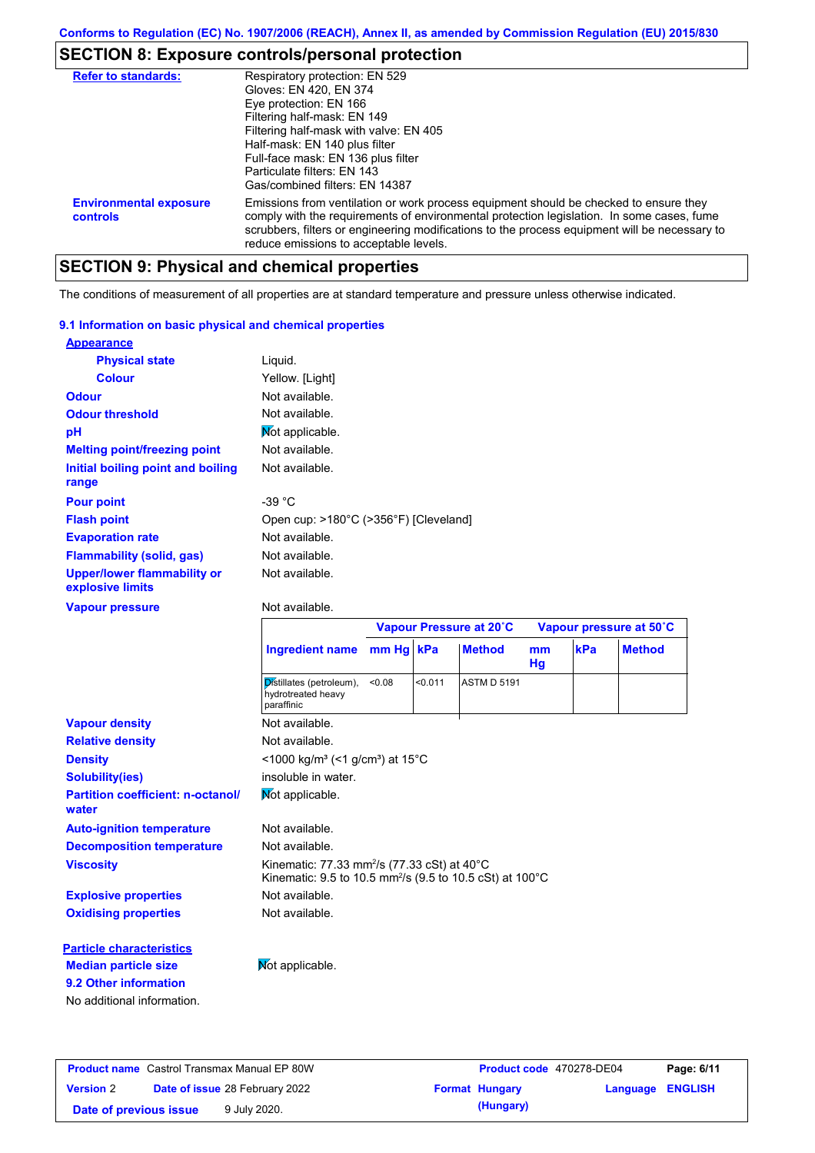# **SECTION 8: Exposure controls/personal protection**

| <b>Refer to standards:</b>                | Respiratory protection: EN 529                                                                                                                                                                                                                                                                                                |
|-------------------------------------------|-------------------------------------------------------------------------------------------------------------------------------------------------------------------------------------------------------------------------------------------------------------------------------------------------------------------------------|
|                                           | Gloves: EN 420, EN 374                                                                                                                                                                                                                                                                                                        |
|                                           | Eye protection: EN 166                                                                                                                                                                                                                                                                                                        |
|                                           | Filtering half-mask: EN 149                                                                                                                                                                                                                                                                                                   |
|                                           | Filtering half-mask with valve: EN 405                                                                                                                                                                                                                                                                                        |
|                                           | Half-mask: EN 140 plus filter                                                                                                                                                                                                                                                                                                 |
|                                           | Full-face mask: EN 136 plus filter                                                                                                                                                                                                                                                                                            |
|                                           | Particulate filters: FN 143                                                                                                                                                                                                                                                                                                   |
|                                           | Gas/combined filters: EN 14387                                                                                                                                                                                                                                                                                                |
| <b>Environmental exposure</b><br>controls | Emissions from ventilation or work process equipment should be checked to ensure they<br>comply with the requirements of environmental protection legislation. In some cases, fume<br>scrubbers, filters or engineering modifications to the process equipment will be necessary to<br>reduce emissions to acceptable levels. |

# **SECTION 9: Physical and chemical properties**

The conditions of measurement of all properties are at standard temperature and pressure unless otherwise indicated.

#### **9.1 Information on basic physical and chemical properties**

| <b>Appearance</b>                                      |                                       |
|--------------------------------------------------------|---------------------------------------|
| <b>Physical state</b>                                  | Liquid.                               |
| <b>Colour</b>                                          | Yellow. [Light]                       |
| <b>Odour</b>                                           | Not available.                        |
| <b>Odour threshold</b>                                 | Not available.                        |
| рH                                                     | Mot applicable.                       |
| <b>Melting point/freezing point</b>                    | Not available.                        |
| Initial boiling point and boiling<br>range             | Not available.                        |
| <b>Pour point</b>                                      | -39 $^{\circ}$ C                      |
| <b>Flash point</b>                                     | Open cup: >180°C (>356°F) [Cleveland] |
| <b>Evaporation rate</b>                                | Not available.                        |
| <b>Flammability (solid, gas)</b>                       | Not available.                        |
| <b>Upper/lower flammability or</b><br>explosive limits | Not available.                        |

#### **Vapour pressure**

#### Not available.

| mm Hg kPa<br>kPa<br><b>Ingredient name</b><br><b>Method</b><br>m <sub>m</sub><br>Hg                                                                            | <b>Method</b> |
|----------------------------------------------------------------------------------------------------------------------------------------------------------------|---------------|
|                                                                                                                                                                |               |
| Distillates (petroleum),<br>< 0.011<br>< 0.08<br><b>ASTM D 5191</b><br>hydrotreated heavy<br>paraffinic                                                        |               |
| <b>Vapour density</b><br>Not available.                                                                                                                        |               |
| Not available.<br><b>Relative density</b>                                                                                                                      |               |
| <1000 kg/m <sup>3</sup> (<1 g/cm <sup>3</sup> ) at 15 <sup>°</sup> C<br><b>Density</b>                                                                         |               |
| insoluble in water.<br><b>Solubility(ies)</b>                                                                                                                  |               |
| Mot applicable.<br><b>Partition coefficient: n-octanol/</b><br>water                                                                                           |               |
| Not available.<br><b>Auto-ignition temperature</b>                                                                                                             |               |
| <b>Decomposition temperature</b><br>Not available.                                                                                                             |               |
| Kinematic: 77.33 mm <sup>2</sup> /s (77.33 cSt) at $40^{\circ}$ C<br><b>Viscosity</b><br>Kinematic: 9.5 to 10.5 mm <sup>2</sup> /s (9.5 to 10.5 cSt) at 100 °C |               |
| Not available.<br><b>Explosive properties</b>                                                                                                                  |               |
| Not available.<br><b>Oxidising properties</b>                                                                                                                  |               |
| <b>Particle characteristics</b>                                                                                                                                |               |
| Not applicable.<br><b>Median particle size</b>                                                                                                                 |               |
| 9.2 Other information                                                                                                                                          |               |
| No additional information.                                                                                                                                     |               |

|                        | <b>Product name</b> Castrol Transmax Manual EP 80W | Product code 470278-DE04 |                         | Page: 6/11 |
|------------------------|----------------------------------------------------|--------------------------|-------------------------|------------|
| <b>Version 2</b>       | <b>Date of issue 28 February 2022</b>              | <b>Format Hungary</b>    | <b>Language ENGLISH</b> |            |
| Date of previous issue | 9 July 2020.                                       | (Hungary)                |                         |            |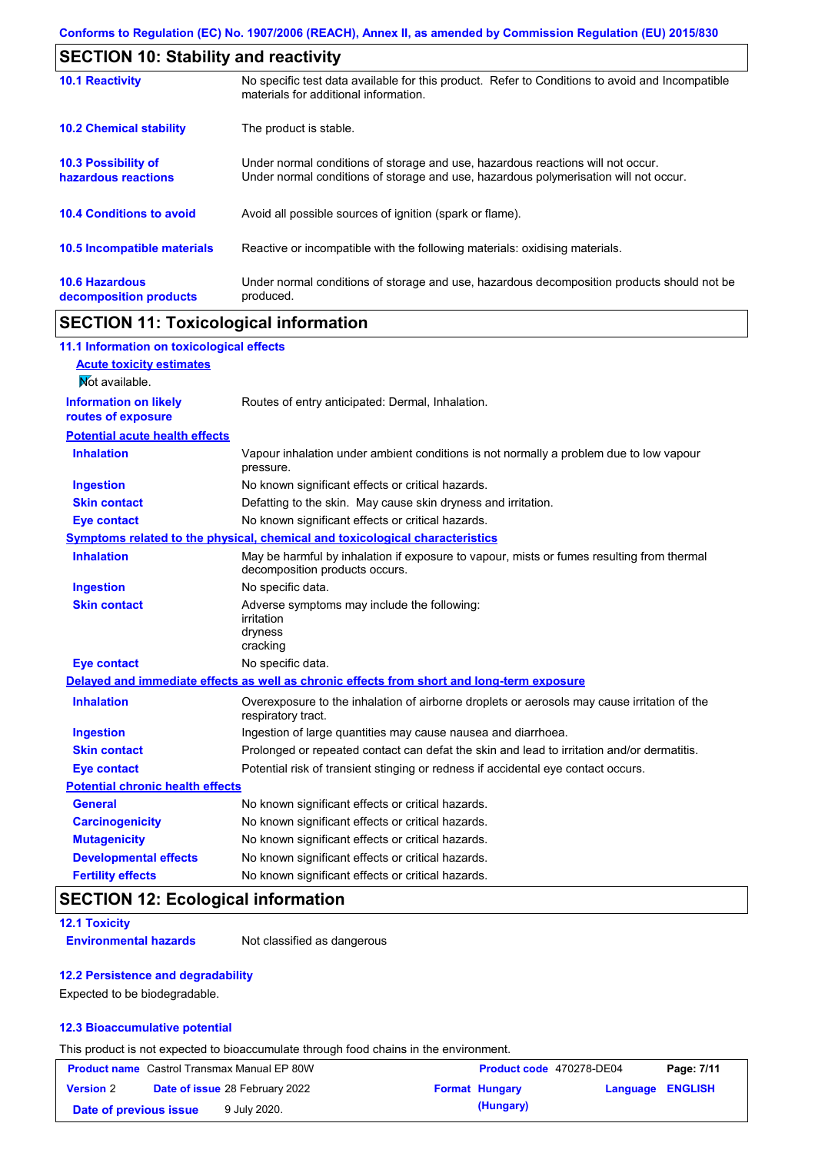| <b>SECTION 10: Stability and reactivity</b>     |                                                                                                                                                                         |  |  |
|-------------------------------------------------|-------------------------------------------------------------------------------------------------------------------------------------------------------------------------|--|--|
| <b>10.1 Reactivity</b>                          | No specific test data available for this product. Refer to Conditions to avoid and Incompatible<br>materials for additional information.                                |  |  |
| <b>10.2 Chemical stability</b>                  | The product is stable.                                                                                                                                                  |  |  |
| 10.3 Possibility of<br>hazardous reactions      | Under normal conditions of storage and use, hazardous reactions will not occur.<br>Under normal conditions of storage and use, hazardous polymerisation will not occur. |  |  |
| <b>10.4 Conditions to avoid</b>                 | Avoid all possible sources of ignition (spark or flame).                                                                                                                |  |  |
| <b>10.5 Incompatible materials</b>              | Reactive or incompatible with the following materials: oxidising materials.                                                                                             |  |  |
| <b>10.6 Hazardous</b><br>decomposition products | Under normal conditions of storage and use, hazardous decomposition products should not be<br>produced.                                                                 |  |  |

## **SECTION 11: Toxicological information**

| 11.1 Information on toxicological effects          |                                                                                                                             |
|----------------------------------------------------|-----------------------------------------------------------------------------------------------------------------------------|
| <b>Acute toxicity estimates</b>                    |                                                                                                                             |
| Not available.                                     |                                                                                                                             |
| <b>Information on likely</b><br>routes of exposure | Routes of entry anticipated: Dermal, Inhalation.                                                                            |
| <b>Potential acute health effects</b>              |                                                                                                                             |
| <b>Inhalation</b>                                  | Vapour inhalation under ambient conditions is not normally a problem due to low vapour<br>pressure.                         |
| <b>Ingestion</b>                                   | No known significant effects or critical hazards.                                                                           |
| <b>Skin contact</b>                                | Defatting to the skin. May cause skin dryness and irritation.                                                               |
| <b>Eye contact</b>                                 | No known significant effects or critical hazards.                                                                           |
|                                                    | Symptoms related to the physical, chemical and toxicological characteristics                                                |
| <b>Inhalation</b>                                  | May be harmful by inhalation if exposure to vapour, mists or fumes resulting from thermal<br>decomposition products occurs. |
| <b>Ingestion</b>                                   | No specific data.                                                                                                           |
| <b>Skin contact</b>                                | Adverse symptoms may include the following:<br>irritation<br>dryness<br>cracking                                            |
| <b>Eye contact</b>                                 | No specific data.                                                                                                           |
|                                                    | Delayed and immediate effects as well as chronic effects from short and long-term exposure                                  |
| <b>Inhalation</b>                                  | Overexposure to the inhalation of airborne droplets or aerosols may cause irritation of the<br>respiratory tract.           |
| <b>Ingestion</b>                                   | Ingestion of large quantities may cause nausea and diarrhoea.                                                               |
| <b>Skin contact</b>                                | Prolonged or repeated contact can defat the skin and lead to irritation and/or dermatitis.                                  |
| <b>Eye contact</b>                                 | Potential risk of transient stinging or redness if accidental eye contact occurs.                                           |
| <b>Potential chronic health effects</b>            |                                                                                                                             |
| <b>General</b>                                     | No known significant effects or critical hazards.                                                                           |
| <b>Carcinogenicity</b>                             | No known significant effects or critical hazards.                                                                           |
| <b>Mutagenicity</b>                                | No known significant effects or critical hazards.                                                                           |
| <b>Developmental effects</b>                       | No known significant effects or critical hazards.                                                                           |
| <b>Fertility effects</b>                           | No known significant effects or critical hazards.                                                                           |

## **SECTION 12: Ecological information**

**12.1 Toxicity**

**Environmental hazards** Not classified as dangerous

#### **12.2 Persistence and degradability**

Expected to be biodegradable.

### **12.3 Bioaccumulative potential**

This product is not expected to bioaccumulate through food chains in the environment.

|                        | <b>Product name</b> Castrol Transmax Manual EP 80W | <b>Product code</b> 470278-DE04 |                         | Page: 7/11 |
|------------------------|----------------------------------------------------|---------------------------------|-------------------------|------------|
| <b>Version 2</b>       | <b>Date of issue 28 February 2022</b>              | <b>Format Hungary</b>           | <b>Language ENGLISH</b> |            |
| Date of previous issue | 9 July 2020.                                       | (Hungary)                       |                         |            |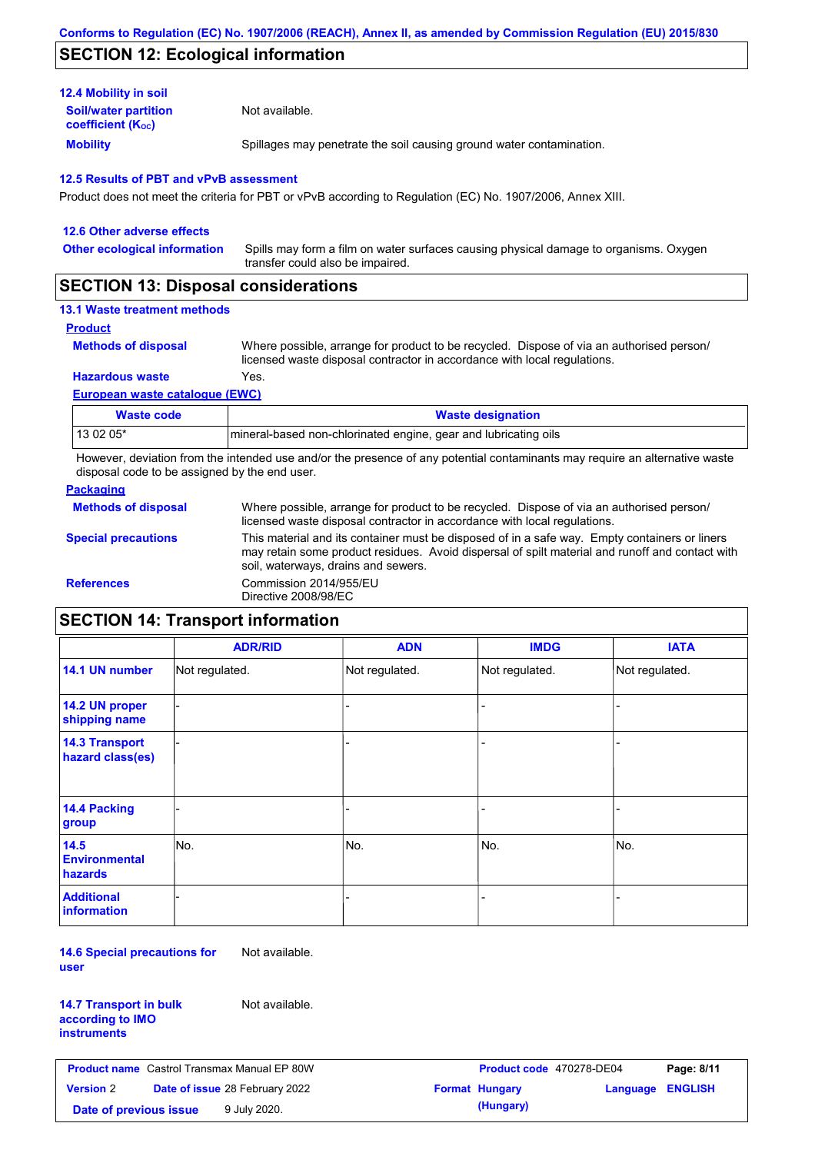## **SECTION 12: Ecological information**

| <b>Mobility</b>                                         | Spillages may penetrate the soil causing ground water contamination. |
|---------------------------------------------------------|----------------------------------------------------------------------|
| <b>Soil/water partition</b><br><b>coefficient (Koc)</b> | Not available.                                                       |
| <b>12.4 Mobility in soil</b>                            |                                                                      |

Product does not meet the criteria for PBT or vPvB according to Regulation (EC) No. 1907/2006, Annex XIII.

| 12.6 Other adverse effects                                                                                                                                                                                                                                                                                                                                                                                             |                                                                                                                           |
|------------------------------------------------------------------------------------------------------------------------------------------------------------------------------------------------------------------------------------------------------------------------------------------------------------------------------------------------------------------------------------------------------------------------|---------------------------------------------------------------------------------------------------------------------------|
| <b>Other ecological information</b>                                                                                                                                                                                                                                                                                                                                                                                    | Spills may form a film on water surfaces causing physical damage to organisms. Oxygen<br>transfer could also be impaired. |
| $\mathsf{A} \mathsf{F} \mathsf{A} \mathsf{F} \mathsf{I} \mathsf{A} \mathsf{I} \mathsf{A} \mathsf{I} \mathsf{B} \mathsf{I} \mathsf{I} \mathsf{I} \mathsf{I} \mathsf{I} \mathsf{I} \mathsf{I} \mathsf{I} \mathsf{I} \mathsf{I} \mathsf{I} \mathsf{I} \mathsf{I} \mathsf{I} \mathsf{I} \mathsf{I} \mathsf{I} \mathsf{I} \mathsf{I} \mathsf{I} \mathsf{I} \mathsf{I} \mathsf{I} \mathsf{I} \mathsf{I} \mathsf{I} \mathsf{$ |                                                                                                                           |

## **SECTION 13: Disposal considerations**

### **13.1 Waste treatment methods**

```
Product
```
**Methods of disposal**

Where possible, arrange for product to be recycled. Dispose of via an authorised person/ licensed waste disposal contractor in accordance with local regulations.

**Hazardous waste** Yes.

**European waste catalogue (EWC)**

| Waste code | <b>Waste designation</b>                                        |
|------------|-----------------------------------------------------------------|
| 13 02 05*  | mineral-based non-chlorinated engine, gear and lubricating oils |

However, deviation from the intended use and/or the presence of any potential contaminants may require an alternative waste disposal code to be assigned by the end user.

#### **Packaging**

| <b>Methods of disposal</b> | Where possible, arrange for product to be recycled. Dispose of via an authorised person/<br>licensed waste disposal contractor in accordance with local regulations.                                                                    |
|----------------------------|-----------------------------------------------------------------------------------------------------------------------------------------------------------------------------------------------------------------------------------------|
| <b>Special precautions</b> | This material and its container must be disposed of in a safe way. Empty containers or liners<br>may retain some product residues. Avoid dispersal of spilt material and runoff and contact with<br>soil, waterways, drains and sewers. |
| <b>References</b>          | Commission 2014/955/EU<br>Directive 2008/98/EC                                                                                                                                                                                          |

# **SECTION 14: Transport information**

|                                           | <b>ADR/RID</b> | <b>ADN</b>     | <b>IMDG</b>    | <b>IATA</b>    |
|-------------------------------------------|----------------|----------------|----------------|----------------|
| 14.1 UN number                            | Not regulated. | Not regulated. | Not regulated. | Not regulated. |
| 14.2 UN proper<br>shipping name           |                |                |                |                |
| <b>14.3 Transport</b><br>hazard class(es) |                |                |                |                |
| <b>14.4 Packing</b><br>group              |                |                |                |                |
| 14.5<br><b>Environmental</b><br>hazards   | No.            | No.            | No.            | No.            |
| <b>Additional</b><br>information          |                |                |                |                |

**14.6 Special precautions for user** Not available.

**14.7 Transport in bulk according to IMO instruments**

Not available.

**Product name** Castrol Transmax Manual EP 80W **Product code** 470278-DE04 **Page: 8/11 Version** 2 **Date of issue** 28 February 2022 **Format Hungary Language ENGLISH Date of previous issue 9 July 2020. (Hungary) (Hungary)**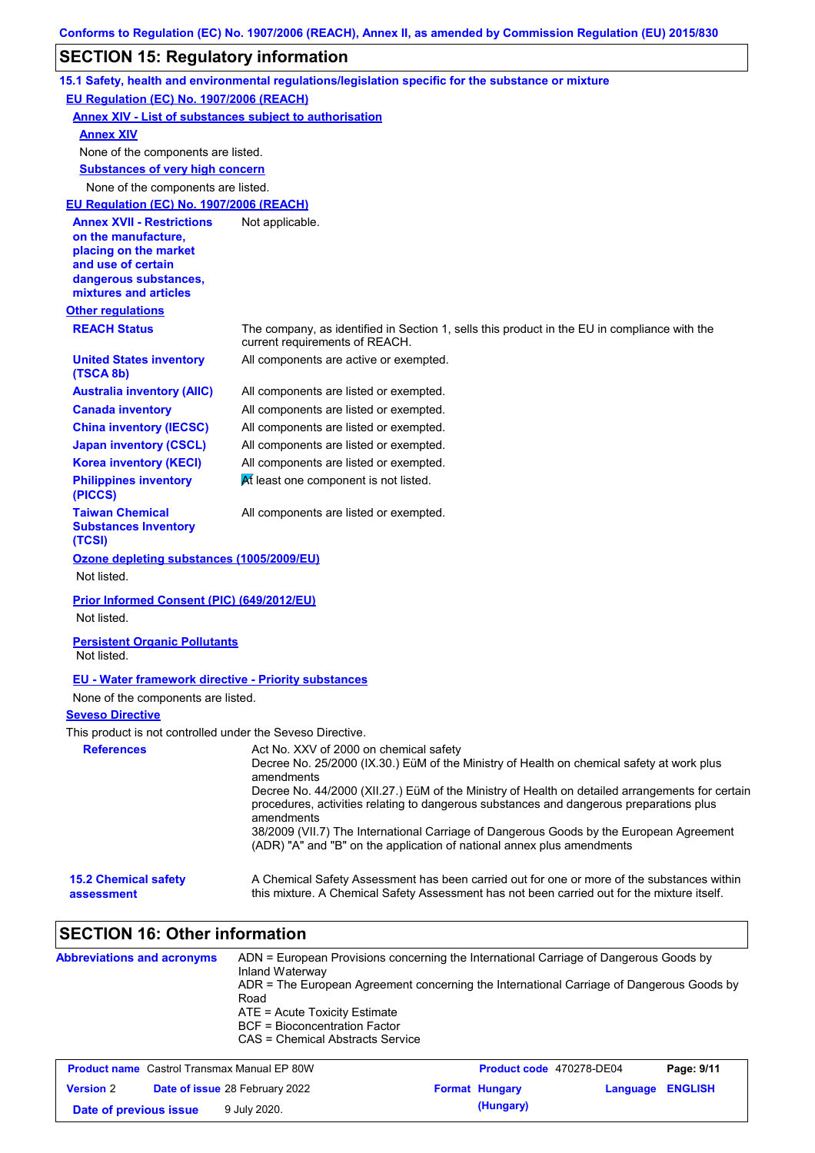# **SECTION 15: Regulatory information**

|                                                                                                                                                          | 15.1 Safety, health and environmental regulations/legislation specific for the substance or mixture                                                                                                                                                                                                                                                                                                                                                                                                                                |
|----------------------------------------------------------------------------------------------------------------------------------------------------------|------------------------------------------------------------------------------------------------------------------------------------------------------------------------------------------------------------------------------------------------------------------------------------------------------------------------------------------------------------------------------------------------------------------------------------------------------------------------------------------------------------------------------------|
| EU Regulation (EC) No. 1907/2006 (REACH)                                                                                                                 |                                                                                                                                                                                                                                                                                                                                                                                                                                                                                                                                    |
|                                                                                                                                                          | <b>Annex XIV - List of substances subject to authorisation</b>                                                                                                                                                                                                                                                                                                                                                                                                                                                                     |
| <b>Annex XIV</b>                                                                                                                                         |                                                                                                                                                                                                                                                                                                                                                                                                                                                                                                                                    |
| None of the components are listed.                                                                                                                       |                                                                                                                                                                                                                                                                                                                                                                                                                                                                                                                                    |
| <b>Substances of very high concern</b>                                                                                                                   |                                                                                                                                                                                                                                                                                                                                                                                                                                                                                                                                    |
| None of the components are listed.                                                                                                                       |                                                                                                                                                                                                                                                                                                                                                                                                                                                                                                                                    |
| EU Regulation (EC) No. 1907/2006 (REACH)                                                                                                                 |                                                                                                                                                                                                                                                                                                                                                                                                                                                                                                                                    |
| <b>Annex XVII - Restrictions</b><br>on the manufacture,<br>placing on the market<br>and use of certain<br>dangerous substances,<br>mixtures and articles | Not applicable.                                                                                                                                                                                                                                                                                                                                                                                                                                                                                                                    |
| <b>Other regulations</b>                                                                                                                                 |                                                                                                                                                                                                                                                                                                                                                                                                                                                                                                                                    |
| <b>REACH Status</b>                                                                                                                                      | The company, as identified in Section 1, sells this product in the EU in compliance with the<br>current requirements of REACH.                                                                                                                                                                                                                                                                                                                                                                                                     |
| <b>United States inventory</b><br>(TSCA 8b)                                                                                                              | All components are active or exempted.                                                                                                                                                                                                                                                                                                                                                                                                                                                                                             |
| <b>Australia inventory (AIIC)</b>                                                                                                                        | All components are listed or exempted.                                                                                                                                                                                                                                                                                                                                                                                                                                                                                             |
| <b>Canada inventory</b>                                                                                                                                  | All components are listed or exempted.                                                                                                                                                                                                                                                                                                                                                                                                                                                                                             |
| <b>China inventory (IECSC)</b>                                                                                                                           | All components are listed or exempted.                                                                                                                                                                                                                                                                                                                                                                                                                                                                                             |
| <b>Japan inventory (CSCL)</b>                                                                                                                            | All components are listed or exempted.                                                                                                                                                                                                                                                                                                                                                                                                                                                                                             |
| <b>Korea inventory (KECI)</b>                                                                                                                            | All components are listed or exempted.                                                                                                                                                                                                                                                                                                                                                                                                                                                                                             |
| <b>Philippines inventory</b><br>(PICCS)                                                                                                                  | At least one component is not listed.                                                                                                                                                                                                                                                                                                                                                                                                                                                                                              |
| <b>Taiwan Chemical</b><br><b>Substances Inventory</b><br>(TCSI)                                                                                          | All components are listed or exempted.                                                                                                                                                                                                                                                                                                                                                                                                                                                                                             |
| Ozone depleting substances (1005/2009/EU)<br>Not listed.                                                                                                 |                                                                                                                                                                                                                                                                                                                                                                                                                                                                                                                                    |
| Prior Informed Consent (PIC) (649/2012/EU)<br>Not listed.                                                                                                |                                                                                                                                                                                                                                                                                                                                                                                                                                                                                                                                    |
| <b>Persistent Organic Pollutants</b><br>Not listed.                                                                                                      |                                                                                                                                                                                                                                                                                                                                                                                                                                                                                                                                    |
| <b>EU - Water framework directive - Priority substances</b>                                                                                              |                                                                                                                                                                                                                                                                                                                                                                                                                                                                                                                                    |
| None of the components are listed.                                                                                                                       |                                                                                                                                                                                                                                                                                                                                                                                                                                                                                                                                    |
| <b>Seveso Directive</b>                                                                                                                                  |                                                                                                                                                                                                                                                                                                                                                                                                                                                                                                                                    |
| This product is not controlled under the Seveso Directive.                                                                                               |                                                                                                                                                                                                                                                                                                                                                                                                                                                                                                                                    |
| <b>References</b>                                                                                                                                        | Act No. XXV of 2000 on chemical safety<br>Decree No. 25/2000 (IX.30.) EüM of the Ministry of Health on chemical safety at work plus<br>amendments<br>Decree No. 44/2000 (XII.27.) EüM of the Ministry of Health on detailed arrangements for certain<br>procedures, activities relating to dangerous substances and dangerous preparations plus<br>amendments<br>38/2009 (VII.7) The International Carriage of Dangerous Goods by the European Agreement<br>(ADR) "A" and "B" on the application of national annex plus amendments |
| <b>15.2 Chemical safety</b><br>assessment                                                                                                                | A Chemical Safety Assessment has been carried out for one or more of the substances within<br>this mixture. A Chemical Safety Assessment has not been carried out for the mixture itself.                                                                                                                                                                                                                                                                                                                                          |
| <b>SECTION 16: Other information</b>                                                                                                                     |                                                                                                                                                                                                                                                                                                                                                                                                                                                                                                                                    |
| <b>Abbreviations and acronyms</b>                                                                                                                        | ADN = European Provisions concerning the International Carriage of Dangerous Goods by<br>Inland Waterway<br>ADR = The European Agreement concerning the International Carriage of Dangerous Goods by<br>Road                                                                                                                                                                                                                                                                                                                       |

ATE = Acute Toxicity Estimate BCF = Bioconcentration Factor

CAS = Chemical Abstracts Service

| <b>Product name</b> Castrol Transmax Manual EP 80W |  | Product code 470278-DE04              |  | Page: 9/11            |                  |  |
|----------------------------------------------------|--|---------------------------------------|--|-----------------------|------------------|--|
| <b>Version 2</b>                                   |  | <b>Date of issue 28 February 2022</b> |  | <b>Format Hungary</b> | Language ENGLISH |  |
| Date of previous issue                             |  | 9 July 2020.                          |  | (Hungary)             |                  |  |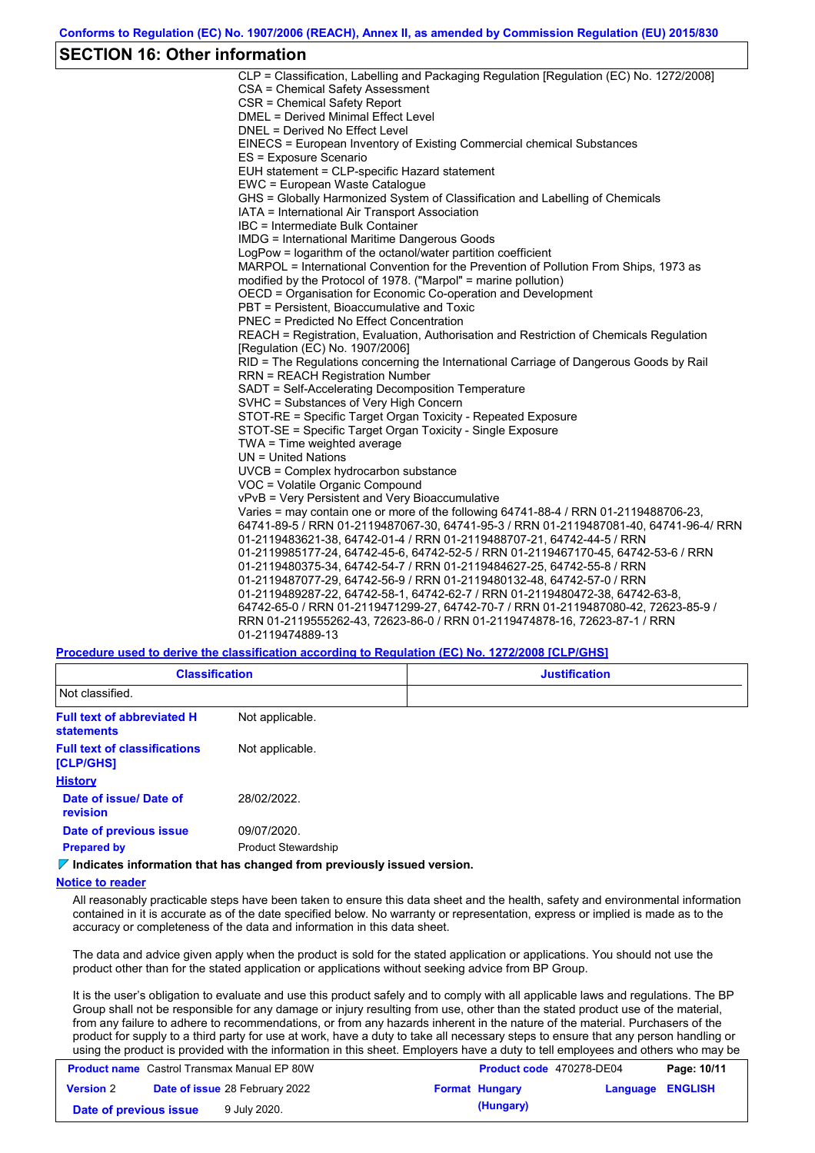### **SECTION 16: Other information**

CLP = Classification, Labelling and Packaging Regulation [Regulation (EC) No. 1272/2008] CSA = Chemical Safety Assessment CSR = Chemical Safety Report DMEL = Derived Minimal Effect Level DNEL = Derived No Effect Level EINECS = European Inventory of Existing Commercial chemical Substances ES = Exposure Scenario EUH statement = CLP-specific Hazard statement EWC = European Waste Catalogue GHS = Globally Harmonized System of Classification and Labelling of Chemicals IATA = International Air Transport Association IBC = Intermediate Bulk Container IMDG = International Maritime Dangerous Goods LogPow = logarithm of the octanol/water partition coefficient MARPOL = International Convention for the Prevention of Pollution From Ships, 1973 as modified by the Protocol of 1978. ("Marpol" = marine pollution) OECD = Organisation for Economic Co-operation and Development PBT = Persistent, Bioaccumulative and Toxic PNEC = Predicted No Effect Concentration REACH = Registration, Evaluation, Authorisation and Restriction of Chemicals Regulation [Regulation (EC) No. 1907/2006] RID = The Regulations concerning the International Carriage of Dangerous Goods by Rail RRN = REACH Registration Number SADT = Self-Accelerating Decomposition Temperature SVHC = Substances of Very High Concern STOT-RE = Specific Target Organ Toxicity - Repeated Exposure STOT-SE = Specific Target Organ Toxicity - Single Exposure TWA = Time weighted average UN = United Nations UVCB = Complex hydrocarbon substance VOC = Volatile Organic Compound vPvB = Very Persistent and Very Bioaccumulative Varies = may contain one or more of the following 64741-88-4 / RRN 01-2119488706-23, 64741-89-5 / RRN 01-2119487067-30, 64741-95-3 / RRN 01-2119487081-40, 64741-96-4/ RRN 01-2119483621-38, 64742-01-4 / RRN 01-2119488707-21, 64742-44-5 / RRN 01-2119985177-24, 64742-45-6, 64742-52-5 / RRN 01-2119467170-45, 64742-53-6 / RRN 01-2119480375-34, 64742-54-7 / RRN 01-2119484627-25, 64742-55-8 / RRN 01-2119487077-29, 64742-56-9 / RRN 01-2119480132-48, 64742-57-0 / RRN 01-2119489287-22, 64742-58-1, 64742-62-7 / RRN 01-2119480472-38, 64742-63-8, 64742-65-0 / RRN 01-2119471299-27, 64742-70-7 / RRN 01-2119487080-42, 72623-85-9 / RRN 01-2119555262-43, 72623-86-0 / RRN 01-2119474878-16, 72623-87-1 / RRN 01-2119474889-13

**Procedure used to derive the classification according to Regulation (EC) No. 1272/2008 [CLP/GHS]**

| <b>Classification</b>                                  |                            | <b>Justification</b> |
|--------------------------------------------------------|----------------------------|----------------------|
| Not classified.                                        |                            |                      |
| <b>Full text of abbreviated H</b><br><b>statements</b> | Not applicable.            |                      |
| <b>Full text of classifications</b><br>[CLP/GHS]       | Not applicable.            |                      |
| <b>History</b>                                         |                            |                      |
| Date of issue/Date of<br><b>revision</b>               | 28/02/2022.                |                      |
| Date of previous issue                                 | 09/07/2020.                |                      |
| <b>Prepared by</b>                                     | <b>Product Stewardship</b> |                      |
|                                                        |                            |                      |

#### **Indicates information that has changed from previously issued version.**

#### **Notice to reader**

All reasonably practicable steps have been taken to ensure this data sheet and the health, safety and environmental information contained in it is accurate as of the date specified below. No warranty or representation, express or implied is made as to the accuracy or completeness of the data and information in this data sheet.

The data and advice given apply when the product is sold for the stated application or applications. You should not use the product other than for the stated application or applications without seeking advice from BP Group.

It is the user's obligation to evaluate and use this product safely and to comply with all applicable laws and regulations. The BP Group shall not be responsible for any damage or injury resulting from use, other than the stated product use of the material, from any failure to adhere to recommendations, or from any hazards inherent in the nature of the material. Purchasers of the product for supply to a third party for use at work, have a duty to take all necessary steps to ensure that any person handling or using the product is provided with the information in this sheet. Employers have a duty to tell employees and others who may be

| <b>Product name</b> Castrol Transmax Manual EP 80W |  | <b>Product code 470278-DE04</b>       |  | Page: 10/11           |                         |  |
|----------------------------------------------------|--|---------------------------------------|--|-----------------------|-------------------------|--|
| <b>Version 2</b>                                   |  | <b>Date of issue 28 February 2022</b> |  | <b>Format Hungary</b> | <b>Language ENGLISH</b> |  |
| Date of previous issue                             |  | 9 July 2020.                          |  | (Hungary)             |                         |  |